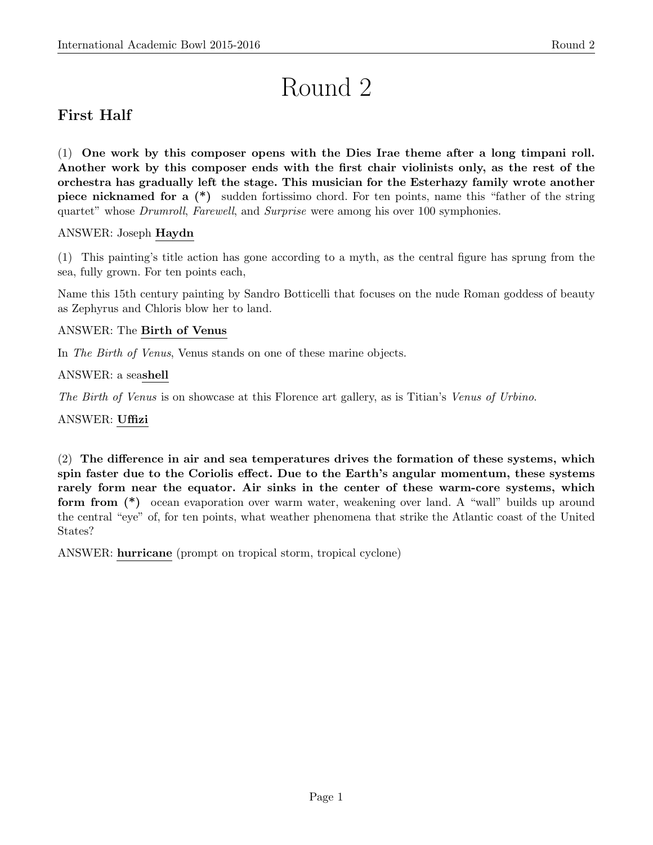# Round 2

# First Half

(1) One work by this composer opens with the Dies Irae theme after a long timpani roll. Another work by this composer ends with the first chair violinists only, as the rest of the orchestra has gradually left the stage. This musician for the Esterhazy family wrote another piece nicknamed for a (\*) sudden fortissimo chord. For ten points, name this "father of the string quartet" whose Drumroll, Farewell, and Surprise were among his over 100 symphonies.

# ANSWER: Joseph Haydn

(1) This painting's title action has gone according to a myth, as the central figure has sprung from the sea, fully grown. For ten points each,

Name this 15th century painting by Sandro Botticelli that focuses on the nude Roman goddess of beauty as Zephyrus and Chloris blow her to land.

# ANSWER: The Birth of Venus

In The Birth of Venus, Venus stands on one of these marine objects.

ANSWER: a seashell

The Birth of Venus is on showcase at this Florence art gallery, as is Titian's Venus of Urbino.

ANSWER: Uffizi

(2) The difference in air and sea temperatures drives the formation of these systems, which spin faster due to the Coriolis effect. Due to the Earth's angular momentum, these systems rarely form near the equator. Air sinks in the center of these warm-core systems, which form from (\*) ocean evaporation over warm water, weakening over land. A "wall" builds up around the central "eye" of, for ten points, what weather phenomena that strike the Atlantic coast of the United States?

ANSWER: hurricane (prompt on tropical storm, tropical cyclone)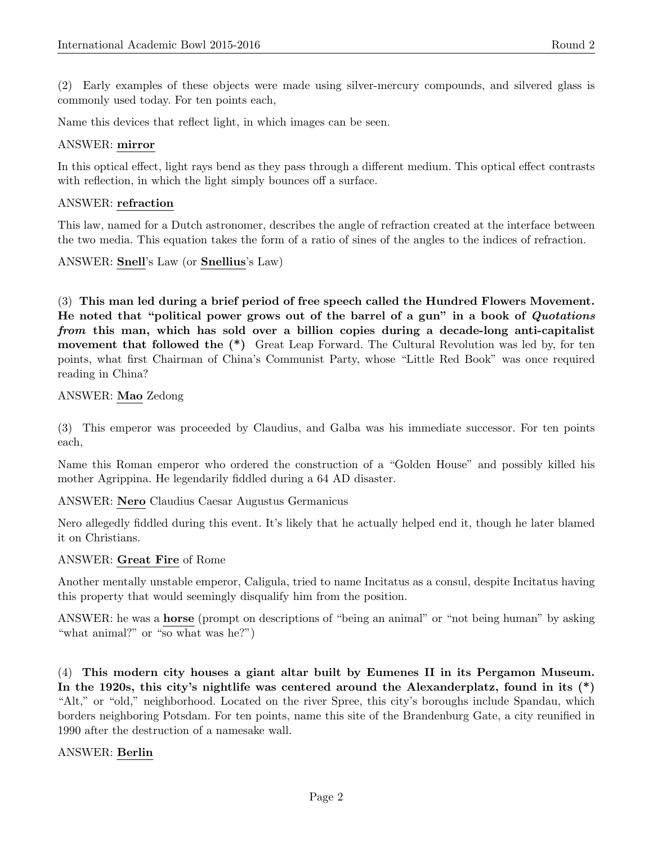(2) Early examples of these objects were made using silver-mercury compounds, and silvered glass is commonly used today. For ten points each,

Name this devices that reflect light, in which images can be seen.

# ANSWER: mirror

In this optical effect, light rays bend as they pass through a different medium. This optical effect contrasts with reflection, in which the light simply bounces off a surface.

# ANSWER: refraction

This law, named for a Dutch astronomer, describes the angle of refraction created at the interface between the two media. This equation takes the form of a ratio of sines of the angles to the indices of refraction.

ANSWER: Snell's Law (or Snellius's Law)

(3) This man led during a brief period of free speech called the Hundred Flowers Movement. He noted that "political power grows out of the barrel of a gun" in a book of Quotations from this man, which has sold over a billion copies during a decade-long anti-capitalist movement that followed the (\*) Great Leap Forward. The Cultural Revolution was led by, for ten points, what first Chairman of China's Communist Party, whose "Little Red Book" was once required reading in China?

# ANSWER: Mao Zedong

(3) This emperor was proceeded by Claudius, and Galba was his immediate successor. For ten points each,

Name this Roman emperor who ordered the construction of a "Golden House" and possibly killed his mother Agrippina. He legendarily fiddled during a 64 AD disaster.

ANSWER: Nero Claudius Caesar Augustus Germanicus

Nero allegedly fiddled during this event. It's likely that he actually helped end it, though he later blamed it on Christians.

## ANSWER: Great Fire of Rome

Another mentally unstable emperor, Caligula, tried to name Incitatus as a consul, despite Incitatus having this property that would seemingly disqualify him from the position.

ANSWER: he was a horse (prompt on descriptions of "being an animal" or "not being human" by asking "what animal?" or "so what was he?")

(4) This modern city houses a giant altar built by Eumenes II in its Pergamon Museum. In the 1920s, this city's nightlife was centered around the Alexanderplatz, found in its (\*) "Alt," or "old," neighborhood. Located on the river Spree, this city's boroughs include Spandau, which borders neighboring Potsdam. For ten points, name this site of the Brandenburg Gate, a city reunified in 1990 after the destruction of a namesake wall.

## ANSWER: Berlin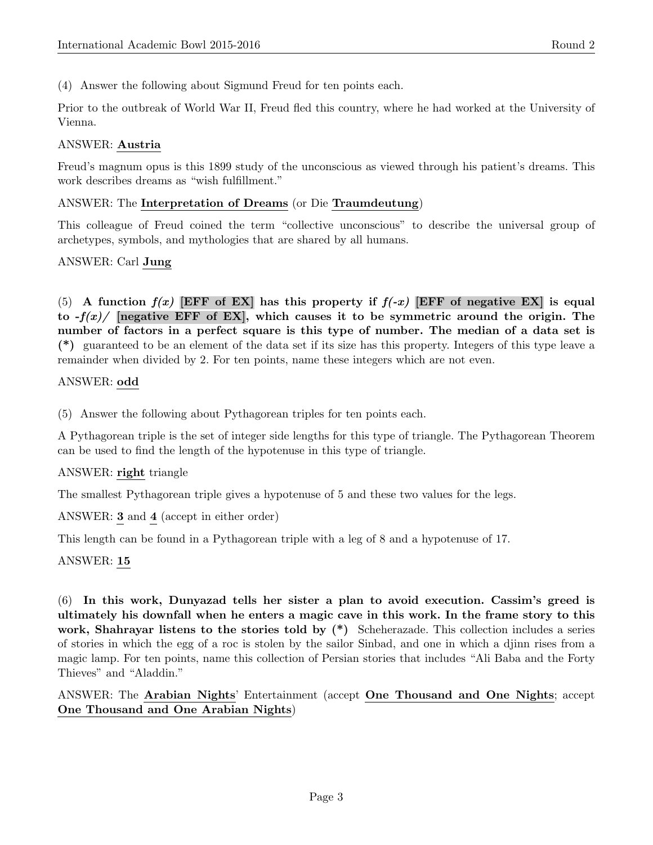(4) Answer the following about Sigmund Freud for ten points each.

Prior to the outbreak of World War II, Freud fled this country, where he had worked at the University of Vienna.

# ANSWER: Austria

Freud's magnum opus is this 1899 study of the unconscious as viewed through his patient's dreams. This work describes dreams as "wish fulfillment."

#### ANSWER: The Interpretation of Dreams (or Die Traumdeutung)

This colleague of Freud coined the term "collective unconscious" to describe the universal group of archetypes, symbols, and mythologies that are shared by all humans.

## ANSWER: Carl Jung

(5) A function  $f(x)$  [EFF of EX] has this property if  $f(-x)$  [EFF of negative EX] is equal to  $-f(x)$  [negative EFF of EX], which causes it to be symmetric around the origin. The number of factors in a perfect square is this type of number. The median of a data set is (\*) guaranteed to be an element of the data set if its size has this property. Integers of this type leave a remainder when divided by 2. For ten points, name these integers which are not even.

#### ANSWER: odd

(5) Answer the following about Pythagorean triples for ten points each.

A Pythagorean triple is the set of integer side lengths for this type of triangle. The Pythagorean Theorem can be used to find the length of the hypotenuse in this type of triangle.

## ANSWER: right triangle

The smallest Pythagorean triple gives a hypotenuse of 5 and these two values for the legs.

ANSWER: 3 and 4 (accept in either order)

This length can be found in a Pythagorean triple with a leg of 8 and a hypotenuse of 17.

## ANSWER: 15

(6) In this work, Dunyazad tells her sister a plan to avoid execution. Cassim's greed is ultimately his downfall when he enters a magic cave in this work. In the frame story to this work, Shahrayar listens to the stories told by  $(*)$  Scheherazade. This collection includes a series of stories in which the egg of a roc is stolen by the sailor Sinbad, and one in which a djinn rises from a magic lamp. For ten points, name this collection of Persian stories that includes "Ali Baba and the Forty Thieves" and "Aladdin."

## ANSWER: The Arabian Nights' Entertainment (accept One Thousand and One Nights; accept One Thousand and One Arabian Nights)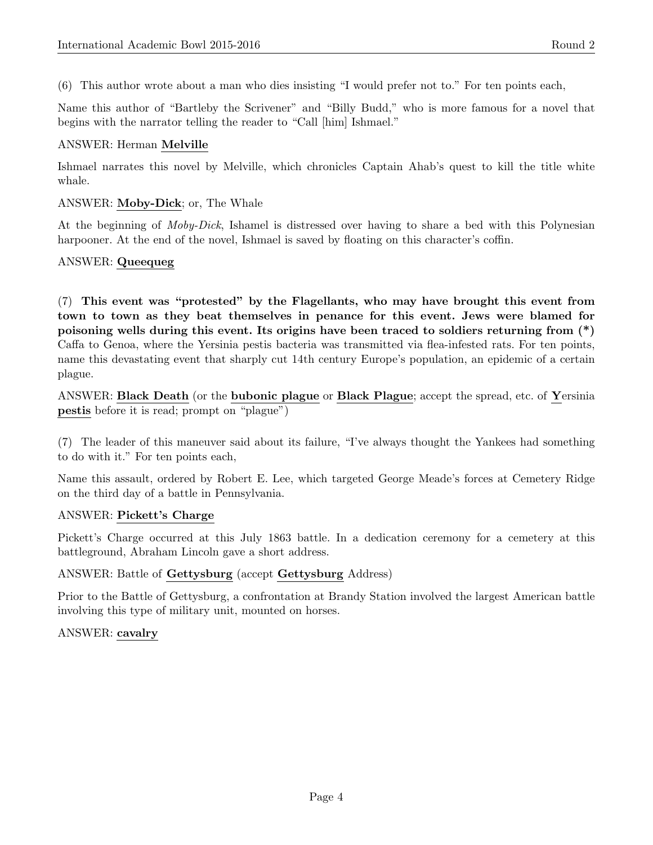(6) This author wrote about a man who dies insisting "I would prefer not to." For ten points each,

Name this author of "Bartleby the Scrivener" and "Billy Budd," who is more famous for a novel that begins with the narrator telling the reader to "Call [him] Ishmael."

#### ANSWER: Herman Melville

Ishmael narrates this novel by Melville, which chronicles Captain Ahab's quest to kill the title white whale.

#### ANSWER: Moby-Dick; or, The Whale

At the beginning of Moby-Dick, Ishamel is distressed over having to share a bed with this Polynesian harpooner. At the end of the novel, Ishmael is saved by floating on this character's coffin.

## ANSWER: Queequeg

(7) This event was "protested" by the Flagellants, who may have brought this event from town to town as they beat themselves in penance for this event. Jews were blamed for poisoning wells during this event. Its origins have been traced to soldiers returning from (\*) Caffa to Genoa, where the Yersinia pestis bacteria was transmitted via flea-infested rats. For ten points, name this devastating event that sharply cut 14th century Europe's population, an epidemic of a certain plague.

ANSWER: Black Death (or the bubonic plague or Black Plague; accept the spread, etc. of Yersinia pestis before it is read; prompt on "plague")

(7) The leader of this maneuver said about its failure, "I've always thought the Yankees had something to do with it." For ten points each,

Name this assault, ordered by Robert E. Lee, which targeted George Meade's forces at Cemetery Ridge on the third day of a battle in Pennsylvania.

#### ANSWER: Pickett's Charge

Pickett's Charge occurred at this July 1863 battle. In a dedication ceremony for a cemetery at this battleground, Abraham Lincoln gave a short address.

#### ANSWER: Battle of Gettysburg (accept Gettysburg Address)

Prior to the Battle of Gettysburg, a confrontation at Brandy Station involved the largest American battle involving this type of military unit, mounted on horses.

## ANSWER: cavalry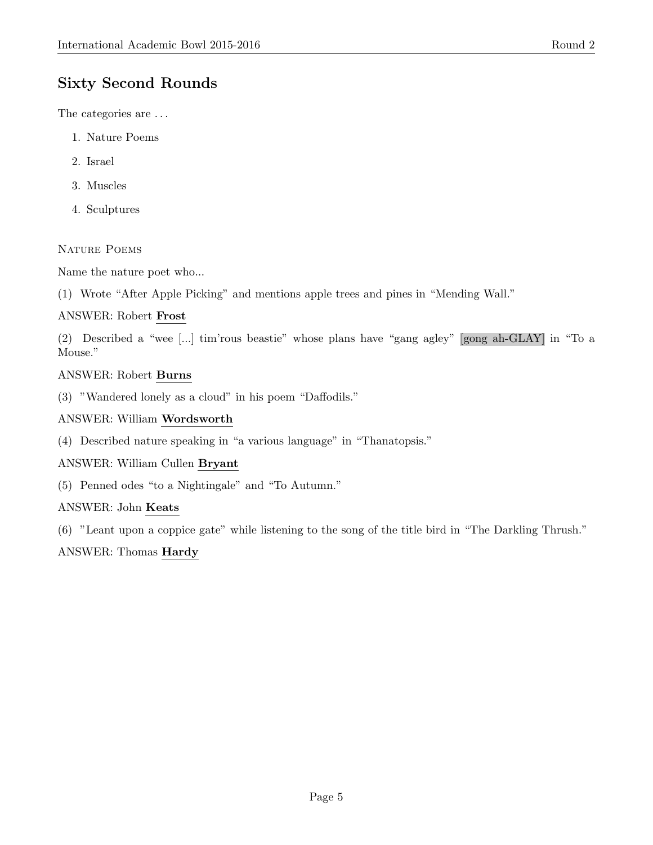# Sixty Second Rounds

The categories are . . .

- 1. Nature Poems
- 2. Israel
- 3. Muscles
- 4. Sculptures

# NATURE POEMS

Name the nature poet who...

(1) Wrote "After Apple Picking" and mentions apple trees and pines in "Mending Wall."

# ANSWER: Robert Frost

(2) Described a "wee [...] tim'rous beastie" whose plans have "gang agley" [gong ah-GLAY] in "To a Mouse."

# ANSWER: Robert Burns

(3) "Wandered lonely as a cloud" in his poem "Daffodils."

# ANSWER: William Wordsworth

(4) Described nature speaking in "a various language" in "Thanatopsis."

## ANSWER: William Cullen Bryant

(5) Penned odes "to a Nightingale" and "To Autumn."

# ANSWER: John Keats

(6) "Leant upon a coppice gate" while listening to the song of the title bird in "The Darkling Thrush."

# ANSWER: Thomas Hardy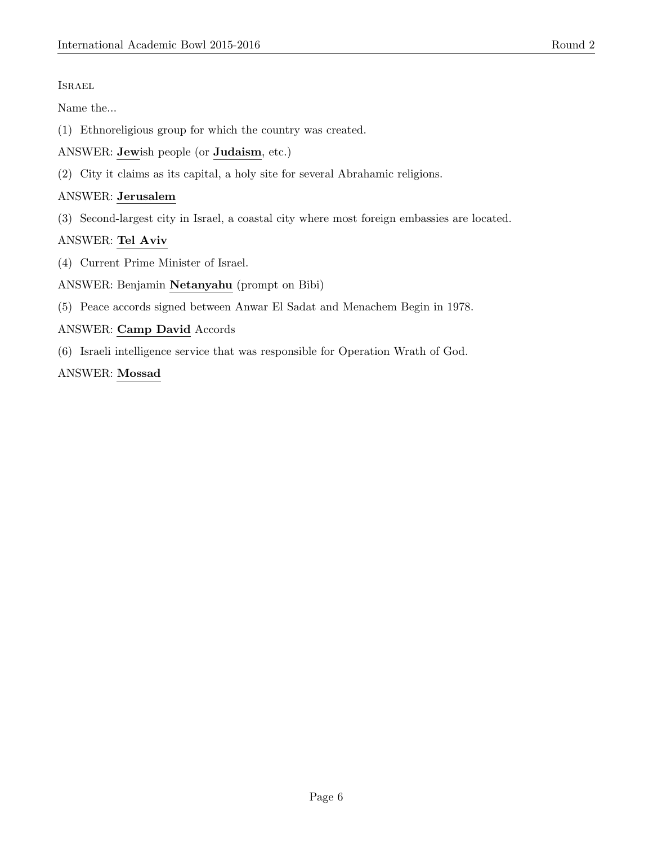Israel

Name the...

(1) Ethnoreligious group for which the country was created.

ANSWER: Jewish people (or Judaism, etc.)

(2) City it claims as its capital, a holy site for several Abrahamic religions.

#### ANSWER: Jerusalem

(3) Second-largest city in Israel, a coastal city where most foreign embassies are located.

# ANSWER: Tel Aviv

(4) Current Prime Minister of Israel.

#### ANSWER: Benjamin Netanyahu (prompt on Bibi)

(5) Peace accords signed between Anwar El Sadat and Menachem Begin in 1978.

## ANSWER: Camp David Accords

(6) Israeli intelligence service that was responsible for Operation Wrath of God.

#### ANSWER: Mossad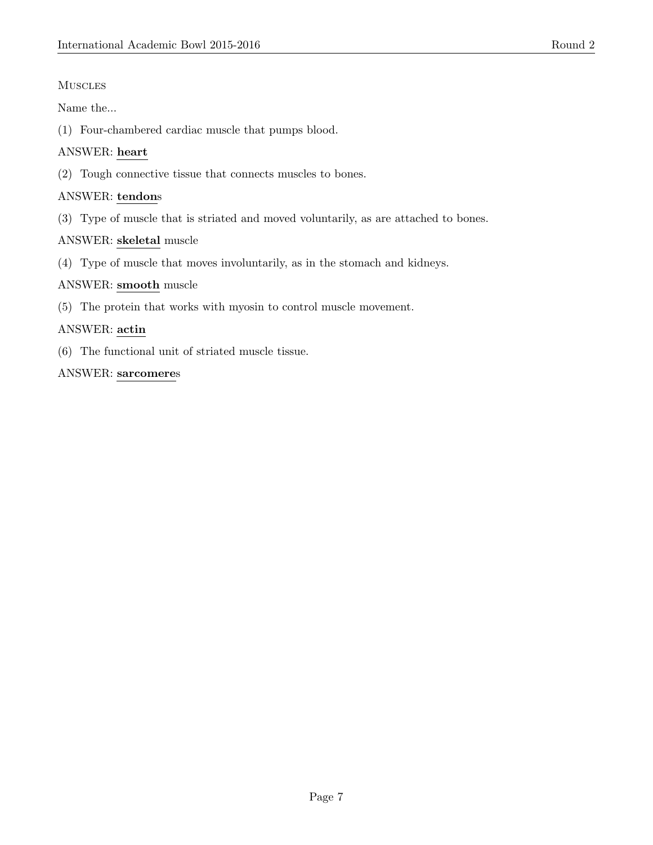## **MUSCLES**

Name the...

(1) Four-chambered cardiac muscle that pumps blood.

## ANSWER: heart

(2) Tough connective tissue that connects muscles to bones.

## ANSWER: tendons

(3) Type of muscle that is striated and moved voluntarily, as are attached to bones.

## ANSWER: skeletal muscle

(4) Type of muscle that moves involuntarily, as in the stomach and kidneys.

## ANSWER: smooth muscle

(5) The protein that works with myosin to control muscle movement.

## ANSWER: actin

(6) The functional unit of striated muscle tissue.

## ANSWER: sarcomeres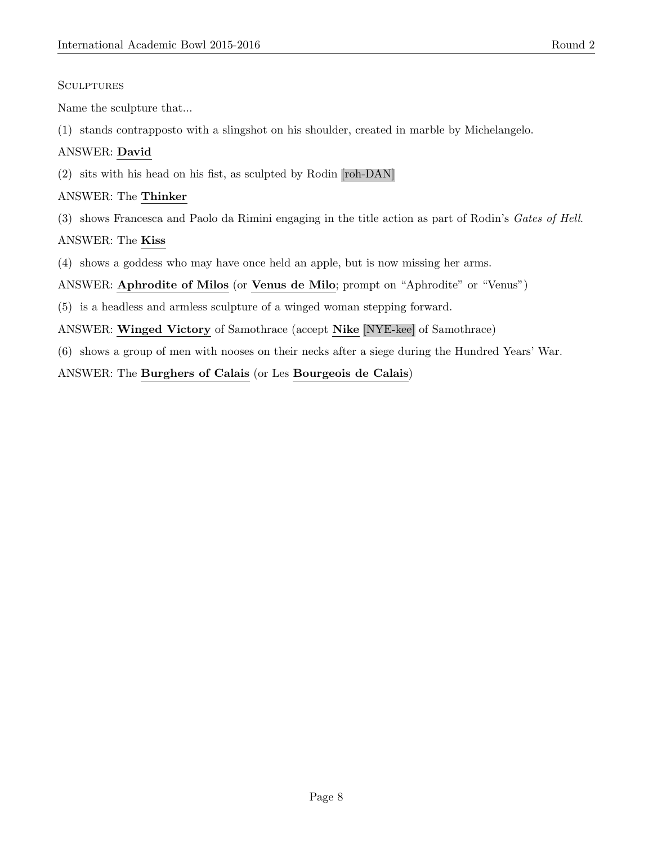#### **SCULPTURES**

Name the sculpture that...

(1) stands contrapposto with a slingshot on his shoulder, created in marble by Michelangelo.

# ANSWER: David

(2) sits with his head on his fist, as sculpted by Rodin [roh-DAN]

# ANSWER: The Thinker

(3) shows Francesca and Paolo da Rimini engaging in the title action as part of Rodin's Gates of Hell.

# ANSWER: The Kiss

(4) shows a goddess who may have once held an apple, but is now missing her arms.

# ANSWER: Aphrodite of Milos (or Venus de Milo; prompt on "Aphrodite" or "Venus")

- (5) is a headless and armless sculpture of a winged woman stepping forward.
- ANSWER: Winged Victory of Samothrace (accept Nike [NYE-kee] of Samothrace)
- (6) shows a group of men with nooses on their necks after a siege during the Hundred Years' War.

# ANSWER: The Burghers of Calais (or Les Bourgeois de Calais)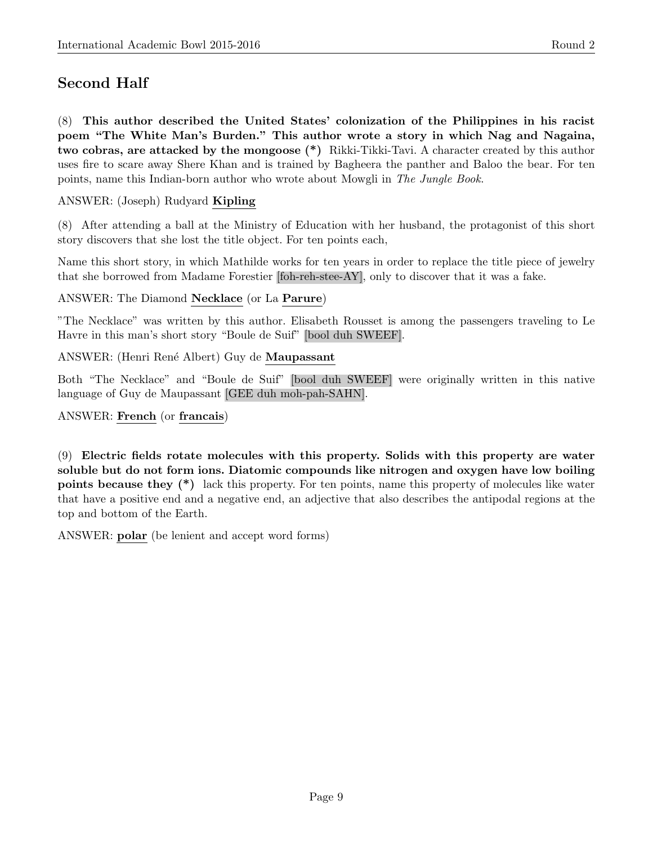# Second Half

(8) This author described the United States' colonization of the Philippines in his racist poem "The White Man's Burden." This author wrote a story in which Nag and Nagaina, two cobras, are attacked by the mongoose (\*) Rikki-Tikki-Tavi. A character created by this author uses fire to scare away Shere Khan and is trained by Bagheera the panther and Baloo the bear. For ten points, name this Indian-born author who wrote about Mowgli in The Jungle Book.

ANSWER: (Joseph) Rudyard Kipling

(8) After attending a ball at the Ministry of Education with her husband, the protagonist of this short story discovers that she lost the title object. For ten points each,

Name this short story, in which Mathilde works for ten years in order to replace the title piece of jewelry that she borrowed from Madame Forestier [foh-reh-stee-AY], only to discover that it was a fake.

ANSWER: The Diamond Necklace (or La Parure)

"The Necklace" was written by this author. Elisabeth Rousset is among the passengers traveling to Le Havre in this man's short story "Boule de Suif" [bool duh SWEEF].

ANSWER: (Henri René Albert) Guy de Maupassant

Both "The Necklace" and "Boule de Suif" [bool duh SWEEF] were originally written in this native language of Guy de Maupassant [GEE duh moh-pah-SAHN].

ANSWER: French (or francais)

(9) Electric fields rotate molecules with this property. Solids with this property are water soluble but do not form ions. Diatomic compounds like nitrogen and oxygen have low boiling points because they (\*) lack this property. For ten points, name this property of molecules like water that have a positive end and a negative end, an adjective that also describes the antipodal regions at the top and bottom of the Earth.

ANSWER: polar (be lenient and accept word forms)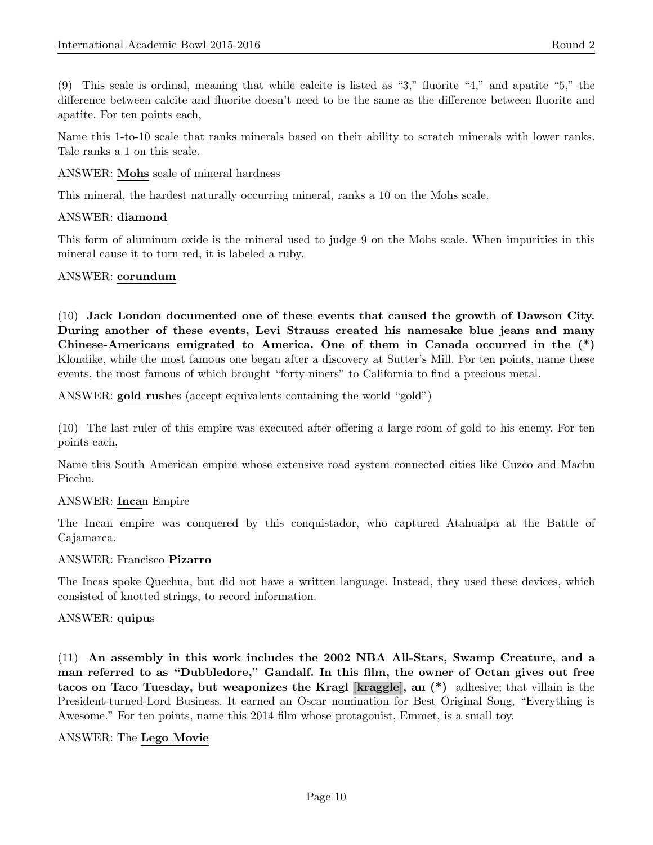(9) This scale is ordinal, meaning that while calcite is listed as "3," fluorite "4," and apatite "5," the difference between calcite and fluorite doesn't need to be the same as the difference between fluorite and apatite. For ten points each,

Name this 1-to-10 scale that ranks minerals based on their ability to scratch minerals with lower ranks. Talc ranks a 1 on this scale.

ANSWER: Mohs scale of mineral hardness

This mineral, the hardest naturally occurring mineral, ranks a 10 on the Mohs scale.

#### ANSWER: diamond

This form of aluminum oxide is the mineral used to judge 9 on the Mohs scale. When impurities in this mineral cause it to turn red, it is labeled a ruby.

#### ANSWER: corundum

(10) Jack London documented one of these events that caused the growth of Dawson City. During another of these events, Levi Strauss created his namesake blue jeans and many Chinese-Americans emigrated to America. One of them in Canada occurred in the (\*) Klondike, while the most famous one began after a discovery at Sutter's Mill. For ten points, name these events, the most famous of which brought "forty-niners" to California to find a precious metal.

ANSWER: gold rushes (accept equivalents containing the world "gold")

(10) The last ruler of this empire was executed after offering a large room of gold to his enemy. For ten points each,

Name this South American empire whose extensive road system connected cities like Cuzco and Machu Picchu.

## ANSWER: Incan Empire

The Incan empire was conquered by this conquistador, who captured Atahualpa at the Battle of Cajamarca.

#### ANSWER: Francisco Pizarro

The Incas spoke Quechua, but did not have a written language. Instead, they used these devices, which consisted of knotted strings, to record information.

#### ANSWER: quipus

(11) An assembly in this work includes the 2002 NBA All-Stars, Swamp Creature, and a man referred to as "Dubbledore," Gandalf. In this film, the owner of Octan gives out free tacos on Taco Tuesday, but weaponizes the Kragl [kraggle], an (\*) adhesive; that villain is the President-turned-Lord Business. It earned an Oscar nomination for Best Original Song, "Everything is Awesome." For ten points, name this 2014 film whose protagonist, Emmet, is a small toy.

#### ANSWER: The Lego Movie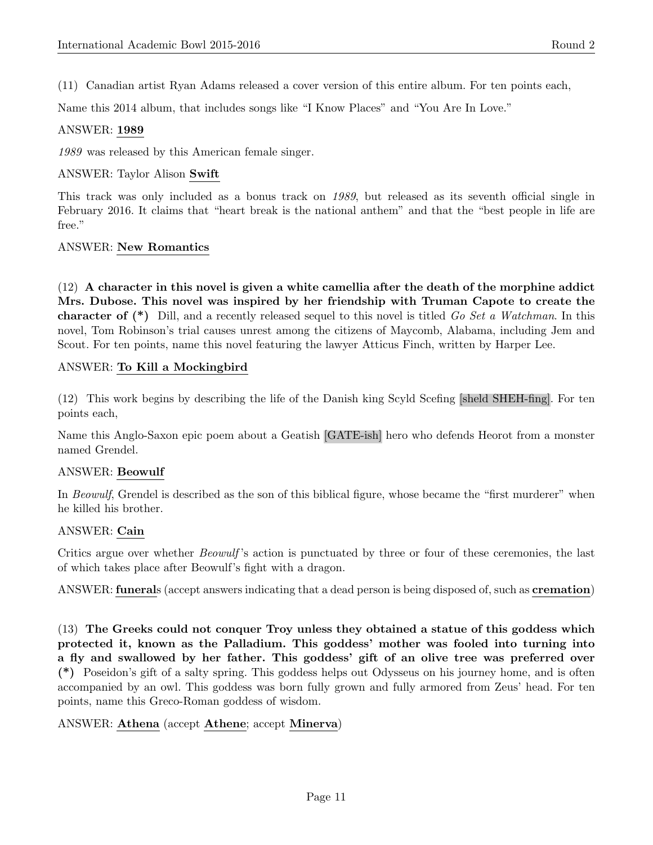(11) Canadian artist Ryan Adams released a cover version of this entire album. For ten points each,

Name this 2014 album, that includes songs like "I Know Places" and "You Are In Love."

#### ANSWER: 1989

1989 was released by this American female singer.

#### ANSWER: Taylor Alison Swift

This track was only included as a bonus track on 1989, but released as its seventh official single in February 2016. It claims that "heart break is the national anthem" and that the "best people in life are free."

#### ANSWER: New Romantics

 $(12)$  A character in this novel is given a white camellia after the death of the morphine addict Mrs. Dubose. This novel was inspired by her friendship with Truman Capote to create the **character of** (\*) Dill, and a recently released sequel to this novel is titled Go Set a Watchman. In this novel, Tom Robinson's trial causes unrest among the citizens of Maycomb, Alabama, including Jem and Scout. For ten points, name this novel featuring the lawyer Atticus Finch, written by Harper Lee.

#### ANSWER: To Kill a Mockingbird

(12) This work begins by describing the life of the Danish king Scyld Scefing [sheld SHEH-fing]. For ten points each,

Name this Anglo-Saxon epic poem about a Geatish [GATE-ish] hero who defends Heorot from a monster named Grendel.

## ANSWER: Beowulf

In Beowulf, Grendel is described as the son of this biblical figure, whose became the "first murderer" when he killed his brother.

#### ANSWER: Cain

Critics argue over whether *Beowulf*'s action is punctuated by three or four of these ceremonies, the last of which takes place after Beowulf's fight with a dragon.

ANSWER: funerals (accept answers indicating that a dead person is being disposed of, such as cremation)

(13) The Greeks could not conquer Troy unless they obtained a statue of this goddess which protected it, known as the Palladium. This goddess' mother was fooled into turning into a fly and swallowed by her father. This goddess' gift of an olive tree was preferred over (\*) Poseidon's gift of a salty spring. This goddess helps out Odysseus on his journey home, and is often accompanied by an owl. This goddess was born fully grown and fully armored from Zeus' head. For ten points, name this Greco-Roman goddess of wisdom.

#### ANSWER: Athena (accept Athene; accept Minerva)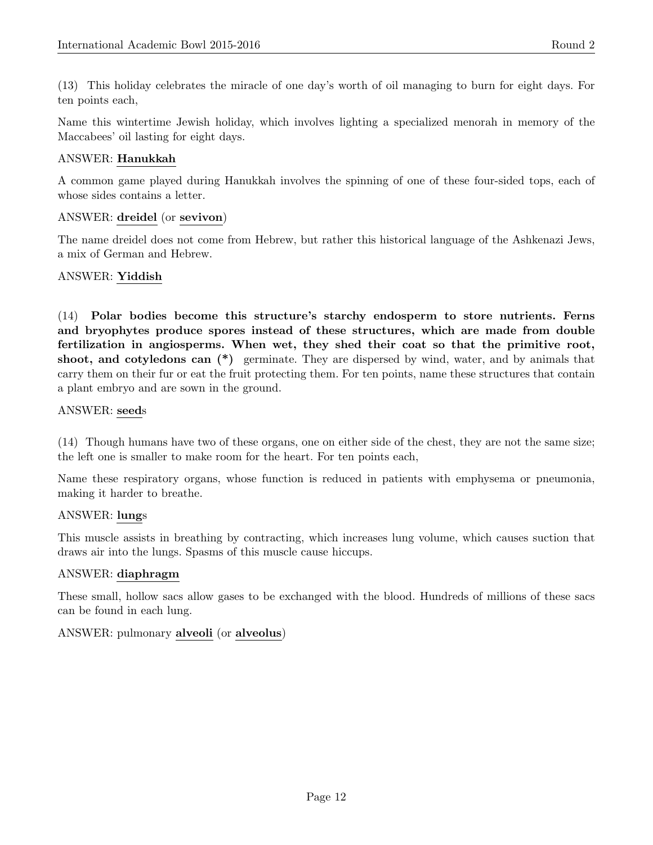(13) This holiday celebrates the miracle of one day's worth of oil managing to burn for eight days. For ten points each,

Name this wintertime Jewish holiday, which involves lighting a specialized menorah in memory of the Maccabees' oil lasting for eight days.

## ANSWER: Hanukkah

A common game played during Hanukkah involves the spinning of one of these four-sided tops, each of whose sides contains a letter.

#### ANSWER: dreidel (or sevivon)

The name dreidel does not come from Hebrew, but rather this historical language of the Ashkenazi Jews, a mix of German and Hebrew.

## ANSWER: Yiddish

(14) Polar bodies become this structure's starchy endosperm to store nutrients. Ferns and bryophytes produce spores instead of these structures, which are made from double fertilization in angiosperms. When wet, they shed their coat so that the primitive root, shoot, and cotyledons can  $(*)$  germinate. They are dispersed by wind, water, and by animals that carry them on their fur or eat the fruit protecting them. For ten points, name these structures that contain a plant embryo and are sown in the ground.

#### ANSWER: seeds

(14) Though humans have two of these organs, one on either side of the chest, they are not the same size; the left one is smaller to make room for the heart. For ten points each,

Name these respiratory organs, whose function is reduced in patients with emphysema or pneumonia, making it harder to breathe.

#### ANSWER: lungs

This muscle assists in breathing by contracting, which increases lung volume, which causes suction that draws air into the lungs. Spasms of this muscle cause hiccups.

#### ANSWER: diaphragm

These small, hollow sacs allow gases to be exchanged with the blood. Hundreds of millions of these sacs can be found in each lung.

## ANSWER: pulmonary alveoli (or alveolus)